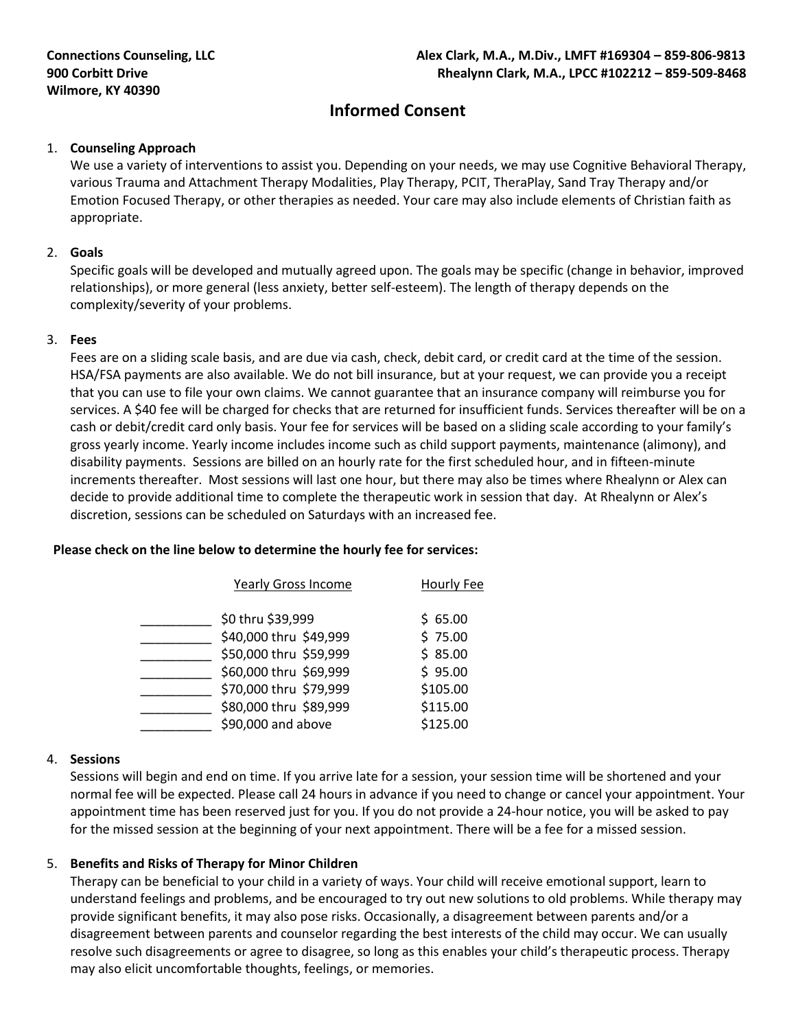# **Informed Consent**

## 1. **Counseling Approach**

We use a variety of interventions to assist you. Depending on your needs, we may use Cognitive Behavioral Therapy, various Trauma and Attachment Therapy Modalities, Play Therapy, PCIT, TheraPlay, Sand Tray Therapy and/or Emotion Focused Therapy, or other therapies as needed. Your care may also include elements of Christian faith as appropriate.

#### 2. **Goals**

Specific goals will be developed and mutually agreed upon. The goals may be specific (change in behavior, improved relationships), or more general (less anxiety, better self-esteem). The length of therapy depends on the complexity/severity of your problems.

#### 3. **Fees**

Fees are on a sliding scale basis, and are due via cash, check, debit card, or credit card at the time of the session. HSA/FSA payments are also available. We do not bill insurance, but at your request, we can provide you a receipt that you can use to file your own claims. We cannot guarantee that an insurance company will reimburse you for services. A \$40 fee will be charged for checks that are returned for insufficient funds. Services thereafter will be on a cash or debit/credit card only basis. Your fee for services will be based on a sliding scale according to your family's gross yearly income. Yearly income includes income such as child support payments, maintenance (alimony), and disability payments. Sessions are billed on an hourly rate for the first scheduled hour, and in fifteen-minute increments thereafter. Most sessions will last one hour, but there may also be times where Rhealynn or Alex can decide to provide additional time to complete the therapeutic work in session that day. At Rhealynn or Alex's discretion, sessions can be scheduled on Saturdays with an increased fee.

## **Please check on the line below to determine the hourly fee for services:**

| <b>Yearly Gross Income</b> | Hourly Fee |
|----------------------------|------------|
| \$0 thru \$39,999          | \$65.00    |
| \$40,000 thru \$49,999     | \$75.00    |
| \$50,000 thru \$59,999     | \$85.00    |
| \$60,000 thru \$69,999     | \$95.00    |
| \$70,000 thru \$79,999     | \$105.00   |
| \$80,000 thru \$89,999     | \$115.00   |
| \$90,000 and above         | \$125.00   |

#### 4. **Sessions**

Sessions will begin and end on time. If you arrive late for a session, your session time will be shortened and your normal fee will be expected. Please call 24 hours in advance if you need to change or cancel your appointment. Your appointment time has been reserved just for you. If you do not provide a 24-hour notice, you will be asked to pay for the missed session at the beginning of your next appointment. There will be a fee for a missed session.

## 5. **Benefits and Risks of Therapy for Minor Children**

Therapy can be beneficial to your child in a variety of ways. Your child will receive emotional support, learn to understand feelings and problems, and be encouraged to try out new solutions to old problems. While therapy may provide significant benefits, it may also pose risks. Occasionally, a disagreement between parents and/or a disagreement between parents and counselor regarding the best interests of the child may occur. We can usually resolve such disagreements or agree to disagree, so long as this enables your child's therapeutic process. Therapy may also elicit uncomfortable thoughts, feelings, or memories.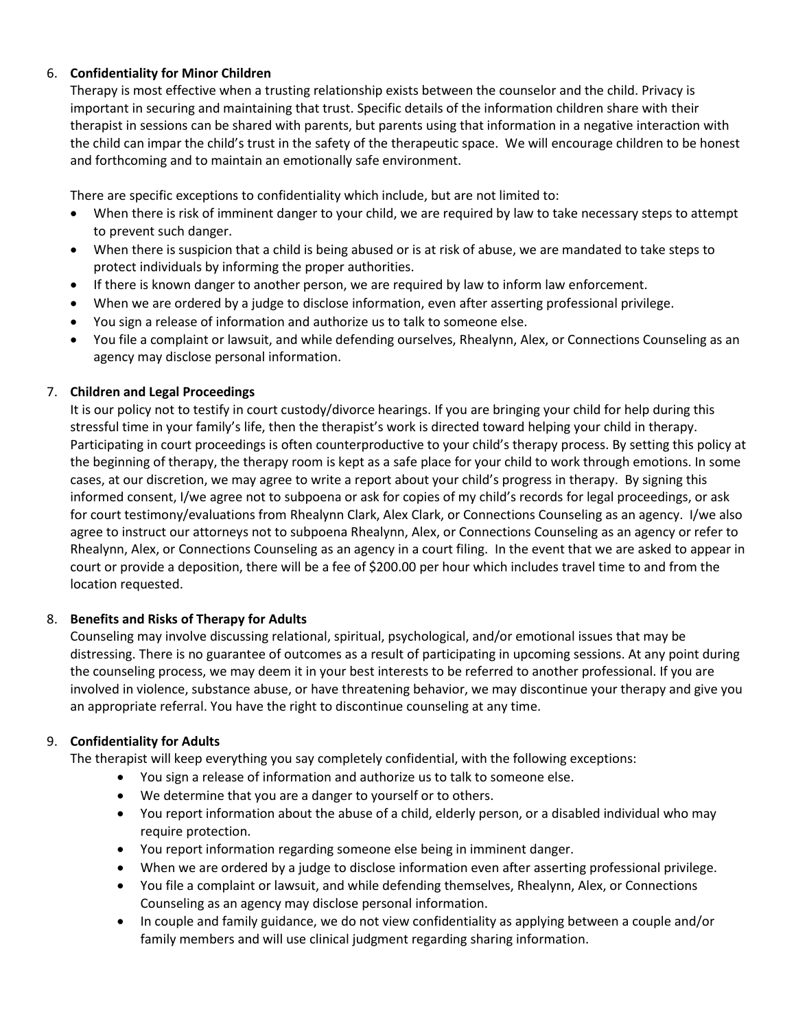# 6. **Confidentiality for Minor Children**

Therapy is most effective when a trusting relationship exists between the counselor and the child. Privacy is important in securing and maintaining that trust. Specific details of the information children share with their therapist in sessions can be shared with parents, but parents using that information in a negative interaction with the child can impar the child's trust in the safety of the therapeutic space. We will encourage children to be honest and forthcoming and to maintain an emotionally safe environment.

There are specific exceptions to confidentiality which include, but are not limited to:

- When there is risk of imminent danger to your child, we are required by law to take necessary steps to attempt to prevent such danger.
- When there is suspicion that a child is being abused or is at risk of abuse, we are mandated to take steps to protect individuals by informing the proper authorities.
- If there is known danger to another person, we are required by law to inform law enforcement.
- When we are ordered by a judge to disclose information, even after asserting professional privilege.
- You sign a release of information and authorize us to talk to someone else.
- You file a complaint or lawsuit, and while defending ourselves, Rhealynn, Alex, or Connections Counseling as an agency may disclose personal information.

# 7. **Children and Legal Proceedings**

It is our policy not to testify in court custody/divorce hearings. If you are bringing your child for help during this stressful time in your family's life, then the therapist's work is directed toward helping your child in therapy. Participating in court proceedings is often counterproductive to your child's therapy process. By setting this policy at the beginning of therapy, the therapy room is kept as a safe place for your child to work through emotions. In some cases, at our discretion, we may agree to write a report about your child's progress in therapy. By signing this informed consent, I/we agree not to subpoena or ask for copies of my child's records for legal proceedings, or ask for court testimony/evaluations from Rhealynn Clark, Alex Clark, or Connections Counseling as an agency. I/we also agree to instruct our attorneys not to subpoena Rhealynn, Alex, or Connections Counseling as an agency or refer to Rhealynn, Alex, or Connections Counseling as an agency in a court filing. In the event that we are asked to appear in court or provide a deposition, there will be a fee of \$200.00 per hour which includes travel time to and from the location requested.

## 8. **Benefits and Risks of Therapy for Adults**

Counseling may involve discussing relational, spiritual, psychological, and/or emotional issues that may be distressing. There is no guarantee of outcomes as a result of participating in upcoming sessions. At any point during the counseling process, we may deem it in your best interests to be referred to another professional. If you are involved in violence, substance abuse, or have threatening behavior, we may discontinue your therapy and give you an appropriate referral. You have the right to discontinue counseling at any time.

## 9. **Confidentiality for Adults**

The therapist will keep everything you say completely confidential, with the following exceptions:

- You sign a release of information and authorize us to talk to someone else.
- We determine that you are a danger to yourself or to others.
- You report information about the abuse of a child, elderly person, or a disabled individual who may require protection.
- You report information regarding someone else being in imminent danger.
- When we are ordered by a judge to disclose information even after asserting professional privilege.
- You file a complaint or lawsuit, and while defending themselves, Rhealynn, Alex, or Connections Counseling as an agency may disclose personal information.
- In couple and family guidance, we do not view confidentiality as applying between a couple and/or family members and will use clinical judgment regarding sharing information.